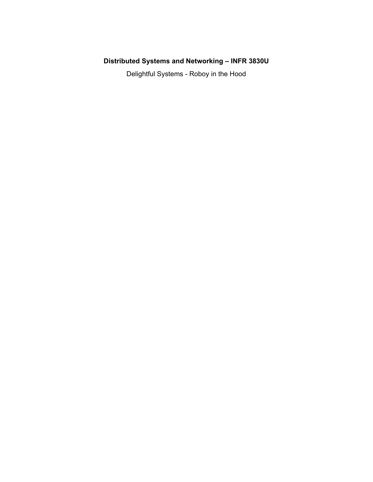# **Distributed Systems and Networking – INFR 3830U**

Delightful Systems - Roboy in the Hood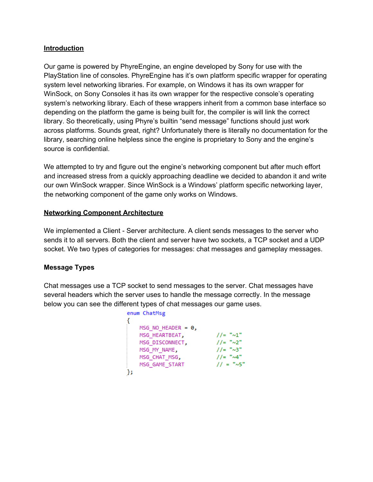### **Introduction**

Our game is powered by PhyreEngine, an engine developed by Sony for use with the PlayStation line of consoles. PhyreEngine has it's own platform specific wrapper for operating system level networking libraries. For example, on Windows it has its own wrapper for WinSock, on Sony Consoles it has its own wrapper for the respective console's operating system's networking library. Each of these wrappers inherit from a common base interface so depending on the platform the game is being built for, the compiler is will link the correct library. So theoretically, using Phyre's builtin "send message" functions should just work across platforms. Sounds great, right? Unfortunately there is literally no documentation for the library, searching online helpless since the engine is proprietary to Sony and the engine's source is confidential.

We attempted to try and figure out the engine's networking component but after much effort and increased stress from a quickly approaching deadline we decided to abandon it and write our own WinSock wrapper. Since WinSock is a Windows' platform specific networking layer, the networking component of the game only works on Windows.

#### **Networking Component Architecture**

We implemented a Client - Server architecture. A client sends messages to the server who sends it to all servers. Both the client and server have two sockets, a TCP socket and a UDP socket. We two types of categories for messages: chat messages and gameplay messages.

### **Message Types**

Chat messages use a TCP socket to send messages to the server. Chat messages have several headers which the server uses to handle the message correctly. In the message below you can see the different types of chat messages our game uses.

| enum ChatMsg         |                   |
|----------------------|-------------------|
|                      |                   |
| MSG NO HEADER = $0,$ |                   |
| MSG HEARTBEAT,       | $//-$ " $\sim1$ " |
| MSG DISCONNECT,      | $1/2$ " $\sim$ 2" |
| MSG MY NAME,         | $1/2$ " $\sim$ 3" |
| MSG CHAT MSG,        | $//=" \sim 4"$    |
| MSG GAME START       | $11 =$ "~5"       |
|                      |                   |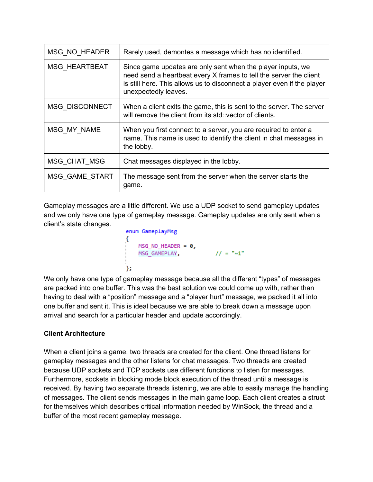| MSG NO HEADER         | Rarely used, demontes a message which has no identified.                                                                                                                                                                             |  |
|-----------------------|--------------------------------------------------------------------------------------------------------------------------------------------------------------------------------------------------------------------------------------|--|
| <b>MSG HEARTBEAT</b>  | Since game updates are only sent when the player inputs, we<br>need send a heartbeat every X frames to tell the server the client<br>is still here. This allows us to disconnect a player even if the player<br>unexpectedly leaves. |  |
| <b>MSG DISCONNECT</b> | When a client exits the game, this is sent to the server. The server<br>will remove the client from its std: vector of clients.                                                                                                      |  |
| MSG MY NAME           | When you first connect to a server, you are required to enter a<br>name. This name is used to identify the client in chat messages in<br>the lobby.                                                                                  |  |
| MSG CHAT MSG          | Chat messages displayed in the lobby.                                                                                                                                                                                                |  |
| MSG_GAME_START        | The message sent from the server when the server starts the<br>game.                                                                                                                                                                 |  |

Gameplay messages are a little different. We use a UDP socket to send gameplay updates and we only have one type of gameplay message. Gameplay updates are only sent when a client's state changes.

```
enum GameplayMsg
MSG_NO_HEADER = \theta,<br>MSG_GAMEPLAY, \frac{1}{2} // = "\sim1"
Ъ.
```
We only have one type of gameplay message because all the different "types" of messages are packed into one buffer. This was the best solution we could come up with, rather than having to deal with a "position" message and a "player hurt" message, we packed it all into one buffer and sent it. This is ideal because we are able to break down a message upon arrival and search for a particular header and update accordingly.

## **Client Architecture**

When a client joins a game, two threads are created for the client. One thread listens for gameplay messages and the other listens for chat messages. Two threads are created because UDP sockets and TCP sockets use different functions to listen for messages. Furthermore, sockets in blocking mode block execution of the thread until a message is received. By having two separate threads listening, we are able to easily manage the handling of messages. The client sends messages in the main game loop. Each client creates a struct for themselves which describes critical information needed by WinSock, the thread and a buffer of the most recent gameplay message.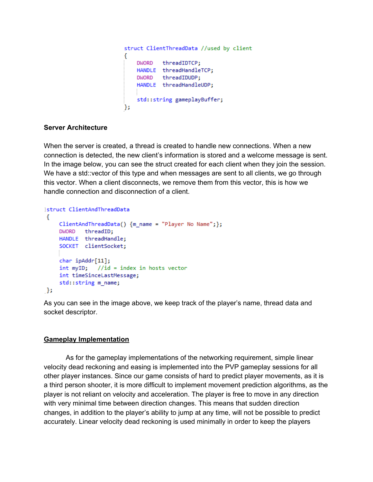```
struct ClientThreadData //used by client
€
   DWORD threadIDTCP;
   HANDLE threadHandleTCP;
   DWORD threadIDUDP;
   HANDLE threadHandleUDP;
   std::string gameplayBuffer;
};
```
### **Server Architecture**

When the server is created, a thread is created to handle new connections. When a new connection is detected, the new client's information is stored and a welcome message is sent. In the image below, you can see the struct created for each client when they join the session. We have a std::vector of this type and when messages are sent to all clients, we go through this vector. When a client disconnects, we remove them from this vector, this is how we handle connection and disconnection of a client.

```
Istruct ClientAndThreadData
€
    ClientAndThreadData() {m_name = "Player No Name";};
    DWORD threadID;
    HANDLE threadHandle;
    SOCKET clientSocket;
    char ipAddr[11];
    int myID; //id = index in hosts vectorint timeSinceLastMessage;
    std::string m_name;
\cdot
```
As you can see in the image above, we keep track of the player's name, thread data and socket descriptor.

### **Gameplay Implementation**

As for the gameplay implementations of the networking requirement, simple linear velocity dead reckoning and easing is implemented into the PVP gameplay sessions for all other player instances. Since our game consists of hard to predict player movements, as it is a third person shooter, it is more difficult to implement movement prediction algorithms, as the player is not reliant on velocity and acceleration. The player is free to move in any direction with very minimal time between direction changes. This means that sudden direction changes, in addition to the player's ability to jump at any time, will not be possible to predict accurately. Linear velocity dead reckoning is used minimally in order to keep the players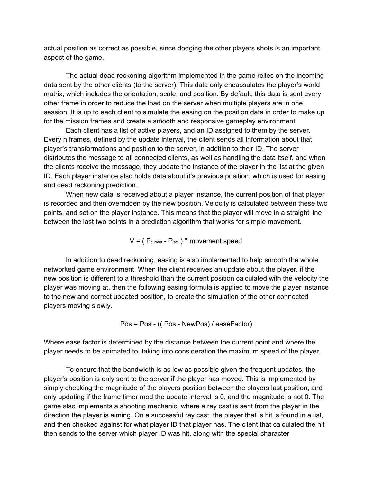actual position as correct as possible, since dodging the other players shots is an important aspect of the game.

The actual dead reckoning algorithm implemented in the game relies on the incoming data sent by the other clients (to the server). This data only encapsulates the player's world matrix, which includes the orientation, scale, and position. By default, this data is sent every other frame in order to reduce the load on the server when multiple players are in one session. It is up to each client to simulate the easing on the position data in order to make up for the mission frames and create a smooth and responsive gameplay environment.

Each client has a list of active players, and an ID assigned to them by the server. Every n frames, defined by the update interval, the client sends all information about that player's transformations and position to the server, in addition to their ID. The server distributes the message to all connected clients, as well as handling the data itself, and when the clients receive the message, they update the instance of the player in the list at the given ID. Each player instance also holds data about it's previous position, which is used for easing and dead reckoning prediction.

When new data is received about a player instance, the current position of that player is recorded and then overridden by the new position. Velocity is calculated between these two points, and set on the player instance. This means that the player will move in a straight line between the last two points in a prediction algorithm that works for simple movement.

 $V = (P_{\text{current}} - P_{\text{last}})^*$  movement speed

In addition to dead reckoning, easing is also implemented to help smooth the whole networked game environment. When the client receives an update about the player, if the new position is different to a threshold than the current position calculated with the velocity the player was moving at, then the following easing formula is applied to move the player instance to the new and correct updated position, to create the simulation of the other connected players moving slowly.

Pos = Pos - (( Pos - NewPos) / easeFactor)

Where ease factor is determined by the distance between the current point and where the player needs to be animated to, taking into consideration the maximum speed of the player.

To ensure that the bandwidth is as low as possible given the frequent updates, the player's position is only sent to the server if the player has moved. This is implemented by simply checking the magnitude of the players position between the players last position, and only updating if the frame timer mod the update interval is 0, and the magnitude is not 0. The game also implements a shooting mechanic, where a ray cast is sent from the player in the direction the player is aiming. On a successful ray cast, the player that is hit is found in a list, and then checked against for what player ID that player has. The client that calculated the hit then sends to the server which player ID was hit, along with the special character